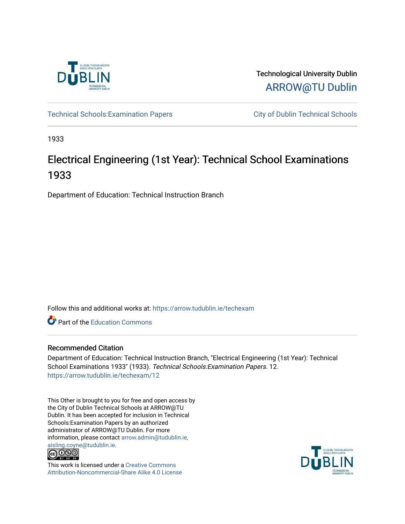

Technological University Dublin [ARROW@TU Dublin](https://arrow.tudublin.ie/) 

Technical Schools: Examination Papers City of Dublin Technical Schools

1933

# Electrical Engineering (1st Year): Technical School Examinations 1933

Department of Education: Technical Instruction Branch

Follow this and additional works at: [https://arrow.tudublin.ie/techexam](https://arrow.tudublin.ie/techexam?utm_source=arrow.tudublin.ie%2Ftechexam%2F12&utm_medium=PDF&utm_campaign=PDFCoverPages) 

Part of the [Education Commons](http://network.bepress.com/hgg/discipline/784?utm_source=arrow.tudublin.ie%2Ftechexam%2F12&utm_medium=PDF&utm_campaign=PDFCoverPages)

## Recommended Citation

Department of Education: Technical Instruction Branch, "Electrical Engineering (1st Year): Technical School Examinations 1933" (1933). Technical Schools:Examination Papers. 12. [https://arrow.tudublin.ie/techexam/12](https://arrow.tudublin.ie/techexam/12?utm_source=arrow.tudublin.ie%2Ftechexam%2F12&utm_medium=PDF&utm_campaign=PDFCoverPages)

This Other is brought to you for free and open access by the City of Dublin Technical Schools at ARROW@TU Dublin. It has been accepted for inclusion in Technical Schools:Examination Papers by an authorized administrator of ARROW@TU Dublin. For more information, please contact [arrow.admin@tudublin.ie,](mailto:arrow.admin@tudublin.ie,%20aisling.coyne@tudublin.ie)  [aisling.coyne@tudublin.ie.](mailto:arrow.admin@tudublin.ie,%20aisling.coyne@tudublin.ie)<br>© 090



This work is licensed under a [Creative Commons](http://creativecommons.org/licenses/by-nc-sa/4.0/) [Attribution-Noncommercial-Share Alike 4.0 License](http://creativecommons.org/licenses/by-nc-sa/4.0/)

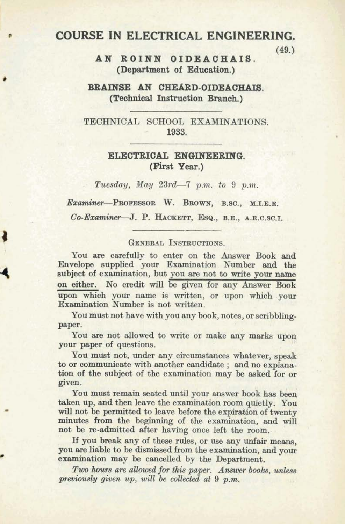### . + **COURSE IN ELECTRICAL ENGINEERING.**

**AN ROINN OIDEACHAIS. (49.) (Department of Education.)** 

**BBAINSE AN CHEARD-OIDEAOHAB. (Technical Instruction Branoh.)** 

TECHNICAL SCHOOL EXAMINATIONS. - **1933.** 

#### **ELECTRICAL ENGINEERING. (First Year.)**

Tuesday, May  $23rd - 7$  p.m. to 9 p.m.

*Ex~W&~~~-PROFESSOR* **W. BROWN, B.SC., M.I.E.E.** 

Co-Examiner-J. P. HACKETT, ESQ., B.E., A.R.C.SC.I.

#### GENERAL INSTRUCTIONS.

You are carefully to enter on the Answer Book **and**  Envelope supplied your Examination Number and the subject of examination, but you are not to write your name on either. No credit will be given for any Answer Book upon which your name is written, or upon which your Examination Number is not written.

You must not have with you any book, notes, or scribblingpaper.

You are not allowed to write or make any marks upon your paper of questions.

You must not, under any circumstances whatever, speak to or communicate with another candidate ; and no explanation of the subject of the examination may be asked for or given.

You must remain seated until your answer book has been taken up, and then leave the examination room quietly. You will not be permitted to leave before the expiration of twenty minutes from the beginning of the examination, and will not be re-admitted after having once left the room.

If you break any of these rules, or use any unfair means. you are liable to be dismissed from the examination, and your examination may be cancelled by the Department.

*Tw hum are allowed ,for* **this** *paper. Amwer books, unless previously given up, will be collected at 9 p.m,*